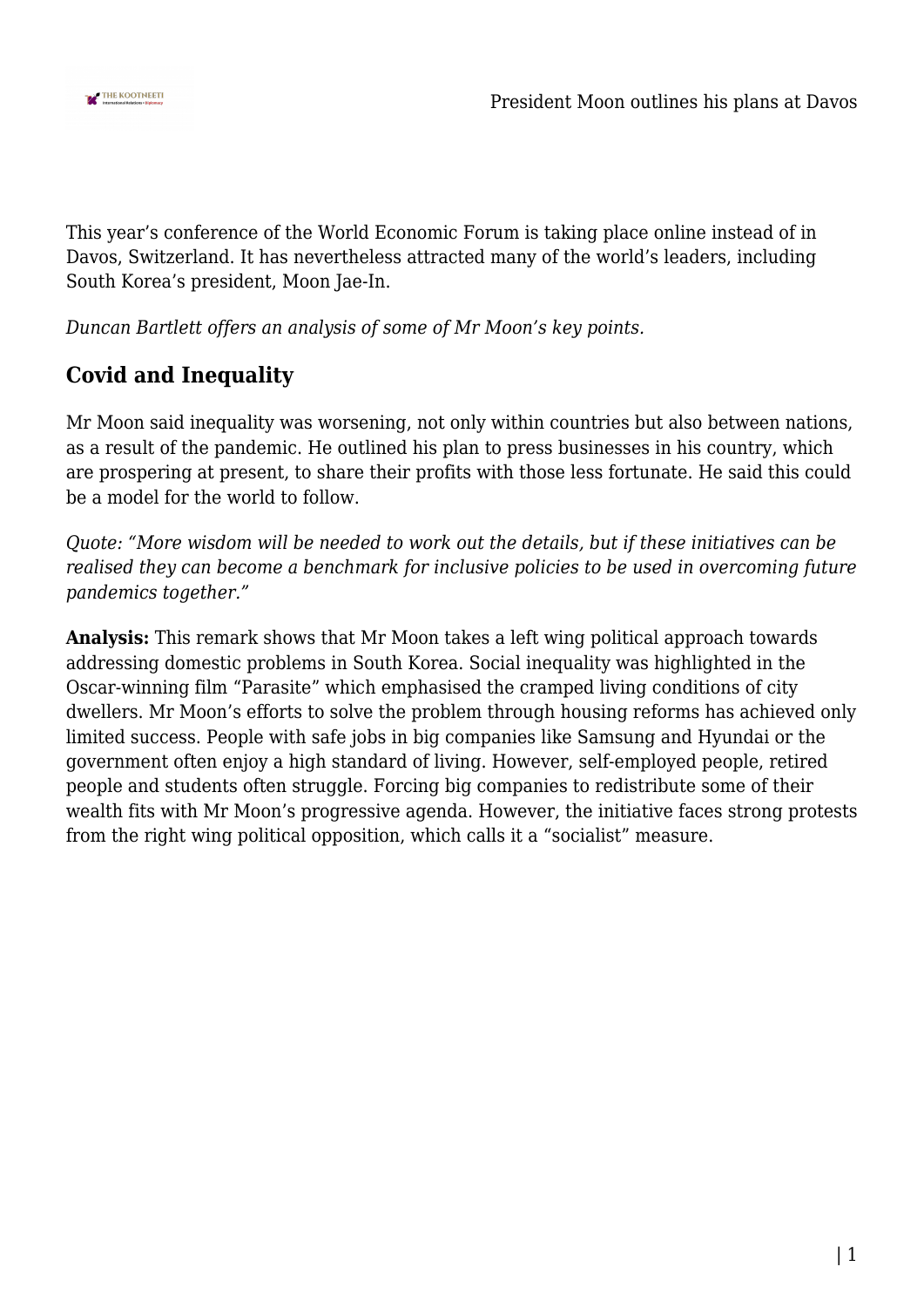

This year's conference of the World Economic Forum is taking place online instead of in Davos, Switzerland. It has nevertheless attracted many of the world's leaders, including South Korea's president, Moon Jae-In.

*Duncan Bartlett offers an analysis of some of Mr Moon's key points.* 

## **Covid and Inequality**

Mr Moon said inequality was worsening, not only within countries but also between nations, as a result of the pandemic. He outlined his plan to press businesses in his country, which are prospering at present, to share their profits with those less fortunate. He said this could be a model for the world to follow.

*Quote: "More wisdom will be needed to work out the details, but if these initiatives can be realised they can become a benchmark for inclusive policies to be used in overcoming future pandemics together."*

**Analysis:** This remark shows that Mr Moon takes a left wing political approach towards addressing domestic problems in South Korea. Social inequality was highlighted in the Oscar-winning film "Parasite" which emphasised the cramped living conditions of city dwellers. Mr Moon's efforts to solve the problem through housing reforms has achieved only limited success. People with safe jobs in big companies like Samsung and Hyundai or the government often enjoy a high standard of living. However, self-employed people, retired people and students often struggle. Forcing big companies to redistribute some of their wealth fits with Mr Moon's progressive agenda. However, the initiative faces strong protests from the right wing political opposition, which calls it a "socialist" measure.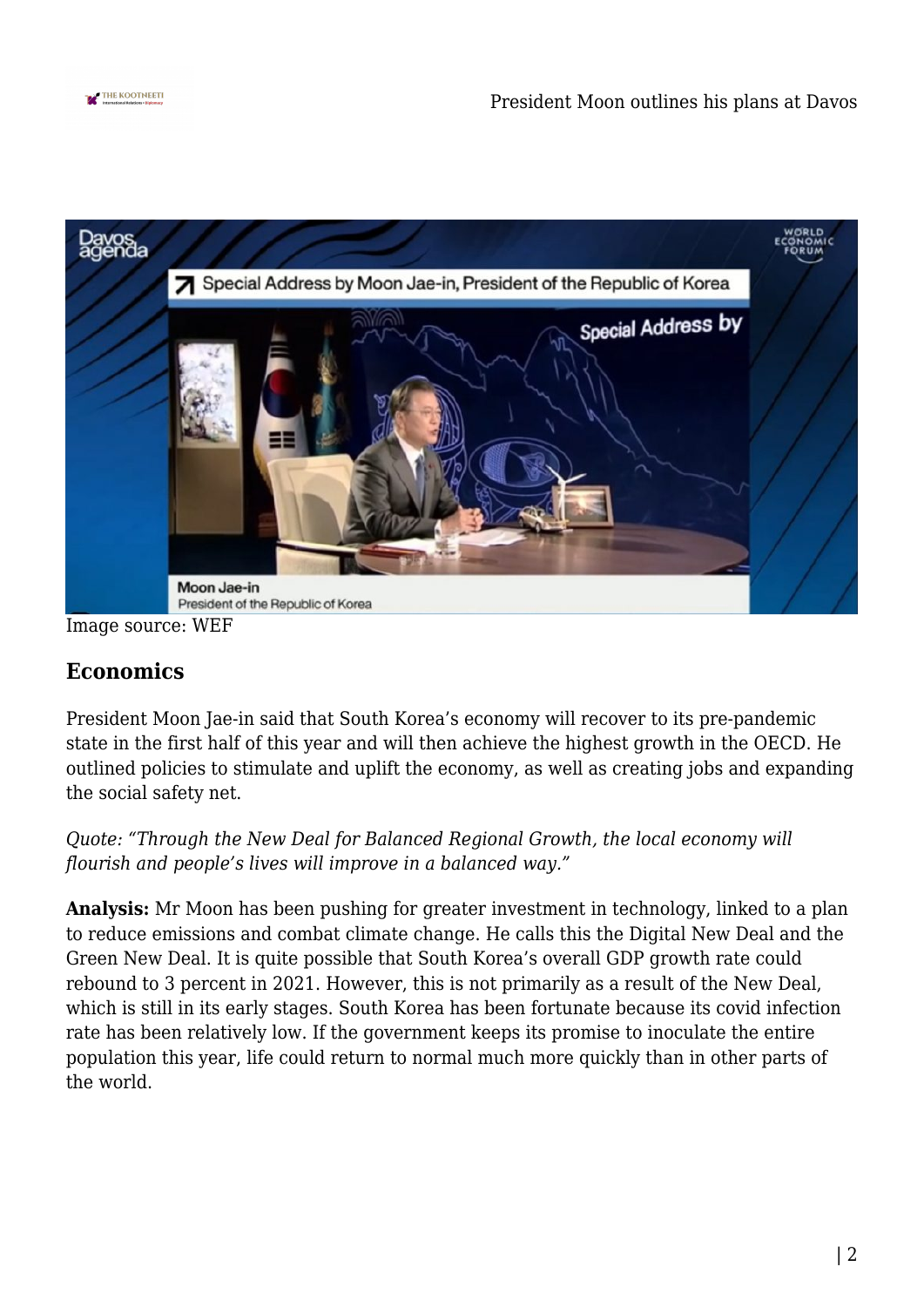



Image source: WEF

## **Economics**

President Moon Jae-in said that South Korea's economy will recover to its pre-pandemic state in the first half of this year and will then achieve the highest growth in the OECD. He outlined policies to stimulate and uplift the economy, as well as creating jobs and expanding the social safety net.

*Quote: "Through the New Deal for Balanced Regional Growth, the local economy will flourish and people's lives will improve in a balanced way."*

**Analysis:** Mr Moon has been pushing for greater investment in technology, linked to a plan to reduce emissions and combat climate change. He calls this the Digital New Deal and the Green New Deal. It is quite possible that South Korea's overall GDP growth rate could rebound to 3 percent in 2021. However, this is not primarily as a result of the New Deal, which is still in its early stages. South Korea has been fortunate because its covid infection rate has been relatively low. If the government keeps its promise to inoculate the entire population this year, life could return to normal much more quickly than in other parts of the world.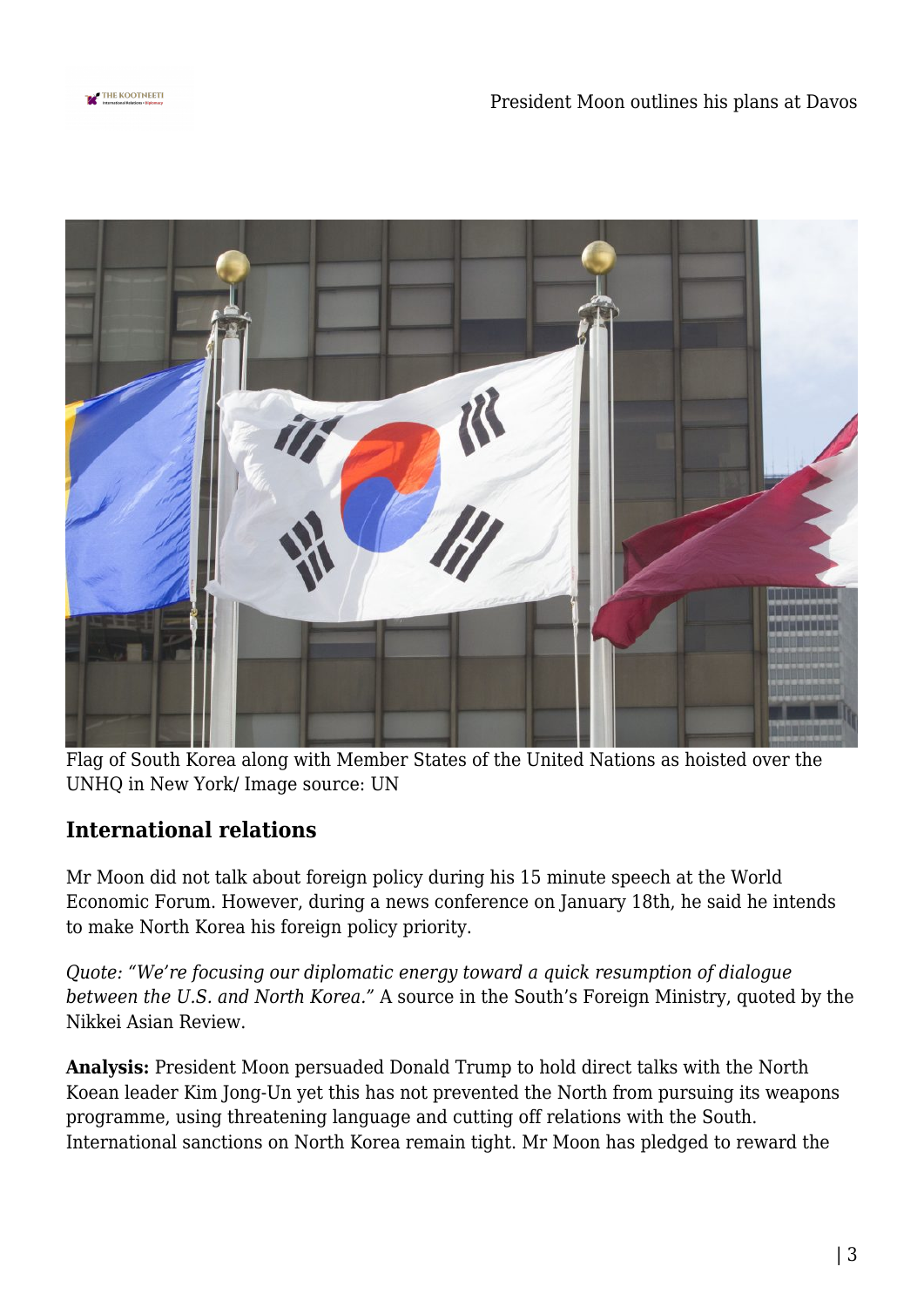



Flag of South Korea along with Member States of the United Nations as hoisted over the UNHQ in New York/ Image source: UN

## **International relations**

Mr Moon did not talk about foreign policy during his 15 minute speech at the World Economic Forum. However, during a news conference on January 18th, he said he intends to make North Korea his foreign policy priority.

*Quote: "We're focusing our diplomatic energy toward a quick resumption of dialogue between the U.S. and North Korea."* A source in the South's Foreign Ministry, quoted by the Nikkei Asian Review.

**Analysis:** President Moon persuaded Donald Trump to hold direct talks with the North Koean leader Kim Jong-Un yet this has not prevented the North from pursuing its weapons programme, using threatening language and cutting off relations with the South. International sanctions on North Korea remain tight. Mr Moon has pledged to reward the